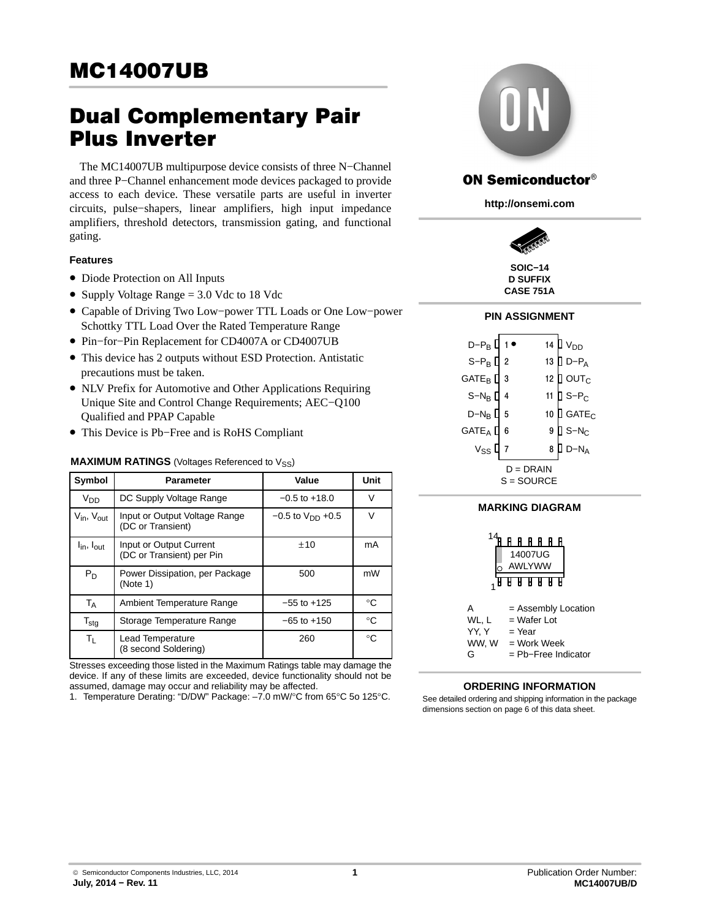# Dual Complementary Pair Plus Inverter

The MC14007UB multipurpose device consists of three N−Channel and three P−Channel enhancement mode devices packaged to provide access to each device. These versatile parts are useful in inverter circuits, pulse−shapers, linear amplifiers, high input impedance amplifiers, threshold detectors, transmission gating, and functional gating.

## **Features**

- Diode Protection on All Inputs
- Supply Voltage Range = 3.0 Vdc to 18 Vdc
- Capable of Driving Two Low−power TTL Loads or One Low−power Schottky TTL Load Over the Rated Temperature Range
- Pin−for−Pin Replacement for CD4007A or CD4007UB
- This device has 2 outputs without ESD Protection. Antistatic precautions must be taken.
- NLV Prefix for Automotive and Other Applications Requiring Unique Site and Control Change Requirements; AEC−Q100 Qualified and PPAP Capable
- This Device is Pb−Free and is RoHS Compliant

### **MAXIMUM RATINGS** (Voltages Referenced to V<sub>SS</sub>)

| Symbol                             | <b>Parameter</b>                                     | Value                   | Unit        |
|------------------------------------|------------------------------------------------------|-------------------------|-------------|
| V <sub>DD</sub>                    | DC Supply Voltage Range                              | $-0.5$ to $+18.0$       | $\vee$      |
| $V_{in}$ , $V_{out}$               | Input or Output Voltage Range<br>(DC or Transient)   | $-0.5$ to $V_{DD}$ +0.5 | V           |
| $I_{\text{in}}$ , $I_{\text{out}}$ | Input or Output Current<br>(DC or Transient) per Pin | ±10                     | mA          |
| $P_D$                              | Power Dissipation, per Package<br>(Note 1)           | 500                     | mW          |
| <b>TA</b>                          | Ambient Temperature Range                            | $-55$ to $+125$         | °€          |
| $T_{\text{stg}}$                   | Storage Temperature Range                            | $-65$ to $+150$         | $^{\circ}C$ |
| Τı.                                | Lead Temperature<br>(8 second Soldering)             | 260                     | $^{\circ}C$ |

Stresses exceeding those listed in the Maximum Ratings table may damage the device. If any of these limits are exceeded, device functionality should not be assumed, damage may occur and reliability may be affected.

1. Temperature Derating: "D/DW" Package: –7.0 mW/°C from 65°C 5o 125°C.<br>1. Temperature Derating: "D/DW" Package: –7.0 mW/°C from 65°C 5o 125°C.



# **ON Semiconductor®**

**http://onsemi.com**



**D SUFFIX CASE 751A**

## **PIN ASSIGNMENT**

| d-P <sub>B</sub> [              |   |    | 14 $\n  VDD\n$                           |  |  |
|---------------------------------|---|----|------------------------------------------|--|--|
| $S-P_B$ <sup>[2]</sup>          |   | 13 | $\overline{\mathsf{I}}$ D-P <sub>A</sub> |  |  |
| $GATE_B$                        | 3 | 12 | ] $\circ$ ut $_{\rm C}$                  |  |  |
| $S-N_B$ <sup>[]</sup>           | 4 | 11 | $JS-P_C$                                 |  |  |
| $D-N_B$ $D$                     | 5 | 10 | $GATE_C$                                 |  |  |
| GATE <sub>A</sub> <sup>[]</sup> | 6 | 9  | $\exists$ S-N <sub>C</sub>               |  |  |
| $V_{SS}$                        |   | 8  | $D-N_A$                                  |  |  |
| $D = DRAIN$                     |   |    |                                          |  |  |
| S = SOURCE                      |   |    |                                          |  |  |

### **MARKING DIAGRAM**



## **ORDERING INFORMATION**

dimensions section on page [6](#page-5-0) of this data sheet.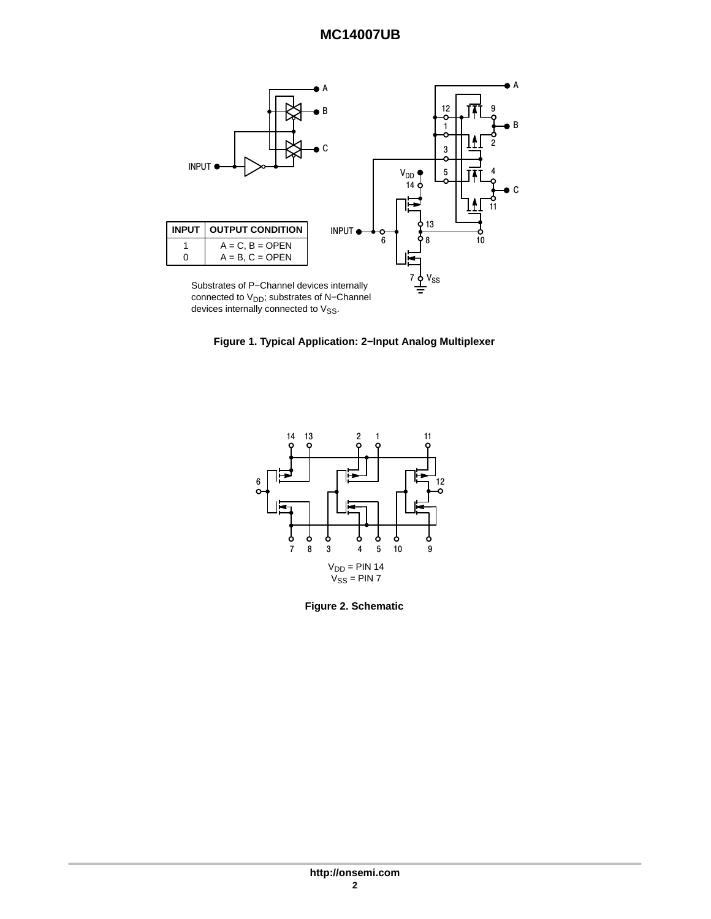<span id="page-1-0"></span>

connected to V<sub>DD</sub>; substrates of N-Channel devices internally connected to  $V_{SS}$ .





**Figure 2. Schematic**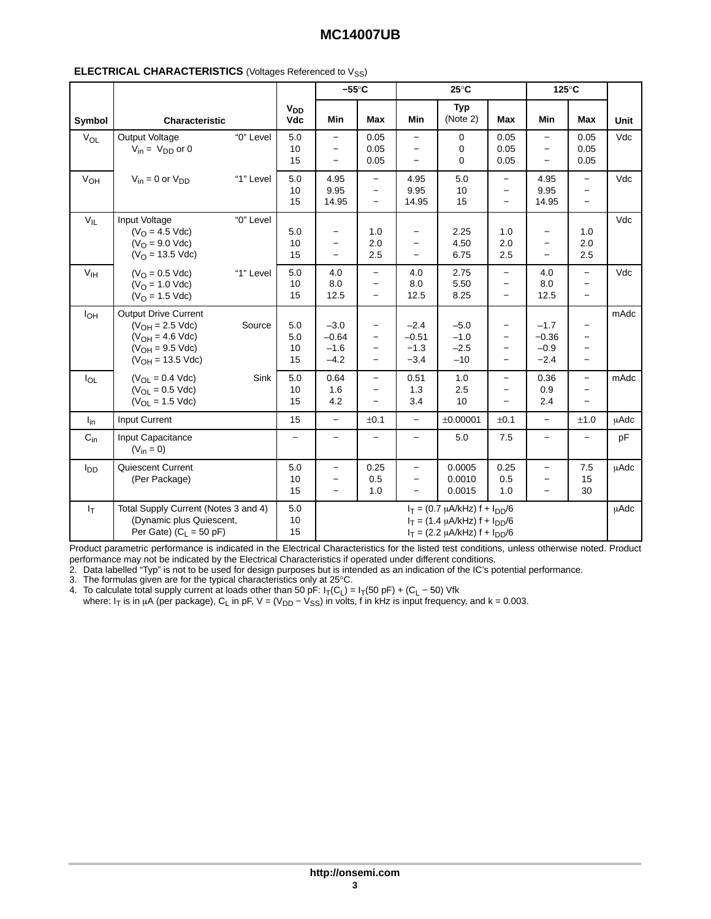|                 |                                                                                                                              |           |                        | $-55^{\circ}$ C                                                       |                                                                           | $25^{\circ}$ C                                                                   |                                                                                                                      | 125°C                                                                     |                                                                    |                                                                           |             |
|-----------------|------------------------------------------------------------------------------------------------------------------------------|-----------|------------------------|-----------------------------------------------------------------------|---------------------------------------------------------------------------|----------------------------------------------------------------------------------|----------------------------------------------------------------------------------------------------------------------|---------------------------------------------------------------------------|--------------------------------------------------------------------|---------------------------------------------------------------------------|-------------|
| Symbol          | <b>Characteristic</b>                                                                                                        |           | $V_{DD}$<br><b>Vdc</b> | Min                                                                   | Max                                                                       | Min                                                                              | <b>Typ</b><br>(Note 2)                                                                                               | Max                                                                       | Min                                                                | Max                                                                       | Unit        |
| $V_{OL}$        | Output Voltage<br>$V_{in} = V_{DD}$ or 0                                                                                     | "0" Level | 5.0<br>10<br>15        | $\overline{\phantom{m}}$<br>$\overline{\phantom{m}}$                  | 0.05<br>0.05<br>0.05                                                      | $\overline{\phantom{0}}$<br>$\overline{\phantom{0}}$                             | 0<br>0<br>0                                                                                                          | 0.05<br>0.05<br>0.05                                                      | $\equiv$<br>$\overline{\phantom{0}}$<br>$\qquad \qquad -$          | 0.05<br>0.05<br>0.05                                                      | Vdc         |
| V <sub>OH</sub> | $V_{in} = 0$ or $V_{DD}$                                                                                                     | "1" Level | 5.0<br>10<br>15        | 4.95<br>9.95<br>14.95                                                 | -<br>$\equiv$<br>$\equiv$                                                 | 4.95<br>9.95<br>14.95                                                            | 5.0<br>10<br>15                                                                                                      | $\qquad \qquad -$<br>$\equiv$<br>$\overline{\phantom{0}}$                 | 4.95<br>9.95<br>14.95                                              | $\qquad \qquad -$<br>$\overline{\phantom{0}}$<br>$\overline{\phantom{0}}$ | Vdc         |
| $V_{IL}$        | Input Voltage<br>$(VO = 4.5$ Vdc)<br>$(VO = 9.0$ Vdc)<br>$(VO = 13.5 Vdc)$                                                   | "0" Level | 5.0<br>10<br>15        | $\overline{\phantom{m}}$                                              | 1.0<br>2.0<br>2.5                                                         | $\overline{\phantom{m}}$<br>$\overline{\phantom{0}}$<br>$\overline{\phantom{0}}$ | 2.25<br>4.50<br>6.75                                                                                                 | 1.0<br>2.0<br>2.5                                                         | $\qquad \qquad -$<br>$\qquad \qquad -$<br>$\overline{\phantom{m}}$ | 1.0<br>2.0<br>2.5                                                         | Vdc         |
| V <sub>IH</sub> | $(VO = 0.5$ Vdc)<br>$(VO = 1.0$ Vdc)<br>$(VO = 1.5$ Vdc)                                                                     | "1" Level | 5.0<br>10<br>15        | 4.0<br>8.0<br>12.5                                                    | $\overline{\phantom{0}}$<br>$\overline{\phantom{0}}$                      | 4.0<br>8.0<br>12.5                                                               | 2.75<br>5.50<br>8.25                                                                                                 | $\overline{\phantom{0}}$<br>$\qquad \qquad -$<br>$\overline{\phantom{0}}$ | 4.0<br>8.0<br>12.5                                                 | $\qquad \qquad -$<br>$\overline{\phantom{0}}$<br>$\overline{\phantom{0}}$ | Vdc         |
| $I_{OH}$        | <b>Output Drive Current</b><br>$(V_{OH} = 2.5$ Vdc)<br>$(V_{OH} = 4.6$ Vdc)<br>$(V_{OH} = 9.5$ Vdc)<br>$(V_{OH} = 13.5$ Vdc) | Source    | 5.0<br>5.0<br>10<br>15 | $-3.0$<br>$-0.64$<br>$-1.6$<br>$-4.2$                                 | $\overline{\phantom{0}}$<br>$\qquad \qquad -$<br>$\overline{\phantom{0}}$ | $-2.4$<br>$-0.51$<br>$-1.3$<br>$-3.4$                                            | $-5.0$<br>$-1.0$<br>$-2.5$<br>$-10$                                                                                  | $\overline{\phantom{0}}$<br>$\qquad \qquad -$<br>$\equiv$                 | $-1.7$<br>$-0.36$<br>$-0.9$<br>$-2.4$                              | $\overline{\phantom{0}}$<br>$\overline{\phantom{0}}$<br>$\qquad \qquad -$ | mAdc        |
| $I_{OL}$        | $(V_{\Omega I} = 0.4$ Vdc)<br>$(V_{OL} = 0.5$ Vdc)<br>$(V_{OL} = 1.5$ Vdc)                                                   | Sink      | 5.0<br>10<br>15        | 0.64<br>1.6<br>4.2                                                    | $\overline{\phantom{0}}$<br>$\overline{\phantom{0}}$                      | 0.51<br>1.3<br>3.4                                                               | 1.0<br>2.5<br>10                                                                                                     | $\qquad \qquad -$<br>$\qquad \qquad -$                                    | 0.36<br>0.9<br>2.4                                                 | $\qquad \qquad -$<br>$\overline{\phantom{0}}$<br>$\overline{\phantom{0}}$ | mAdc        |
| $I_{in}$        | Input Current                                                                                                                |           | 15                     | $\overline{\phantom{0}}$                                              | ±0.1                                                                      | $\overline{\phantom{0}}$                                                         | ±0.00001                                                                                                             | ±0.1                                                                      | $\equiv$                                                           | ±1.0                                                                      | <b>µAdc</b> |
| $C_{\text{in}}$ | Input Capacitance<br>$(V_{in} = 0)$                                                                                          |           | $\equiv$               |                                                                       |                                                                           | $\!-$                                                                            | 5.0                                                                                                                  | 7.5                                                                       |                                                                    |                                                                           | pF          |
| l <sub>DD</sub> | Quiescent Current<br>(Per Package)                                                                                           |           | 5.0<br>10<br>15        | $\frac{1}{2}$<br>$\overline{\phantom{m}}$<br>$\overline{\phantom{m}}$ | 0.25<br>0.5<br>1.0                                                        | $\qquad \qquad -$<br>$\equiv$<br>$\equiv$                                        | 0.0005<br>0.0010<br>0.0015                                                                                           | 0.25<br>0.5<br>1.0                                                        | $\equiv$<br>$\overline{\phantom{m}}$<br>$\overline{\phantom{0}}$   | 7.5<br>15<br>30                                                           | uAdc        |
| $I_T$           | Total Supply Current (Notes 3 and 4)<br>(Dynamic plus Quiescent,<br>Per Gate) $(C_1 = 50 pF)$                                |           | 5.0<br>10<br>15        |                                                                       |                                                                           |                                                                                  | $I_T = (0.7 \mu A/kHz) f + I_{DD}/6$<br>$I_T = (1.4 \mu A/kHz) f + I_{DD}/6$<br>$I_T = (2.2 \mu A/kHz) f + I_{DD}/6$ |                                                                           |                                                                    |                                                                           | <b>µAdc</b> |

#### **ELECTRICAL CHARACTERISTICS** (Voltages Referenced to V<sub>SS</sub>)

Product parametric performance is indicated in the Electrical Characteristics for the listed test conditions, unless otherwise noted. Product performance may not be indicated by the Electrical Characteristics if operated under different conditions.

2. Data labelled "Typ" is not to be used for design purposes but is intended as an indication of the IC's potential performance.

3. The formulas given are for the typical characteristics only at 25 $^{\circ}$ C.

4. To calculate total supply current at loads other than 50 pF:  $I_T(C_L) = I_T(50 \text{ pF}) + (C_L - 50) \text{ Vfk}$ 

where: I<sub>T</sub> is in µA (per package), C<sub>L</sub> in pF, V = (V<sub>DD</sub> – V<sub>SS</sub>) in volts, f in kHz is input frequency, and k = 0.003.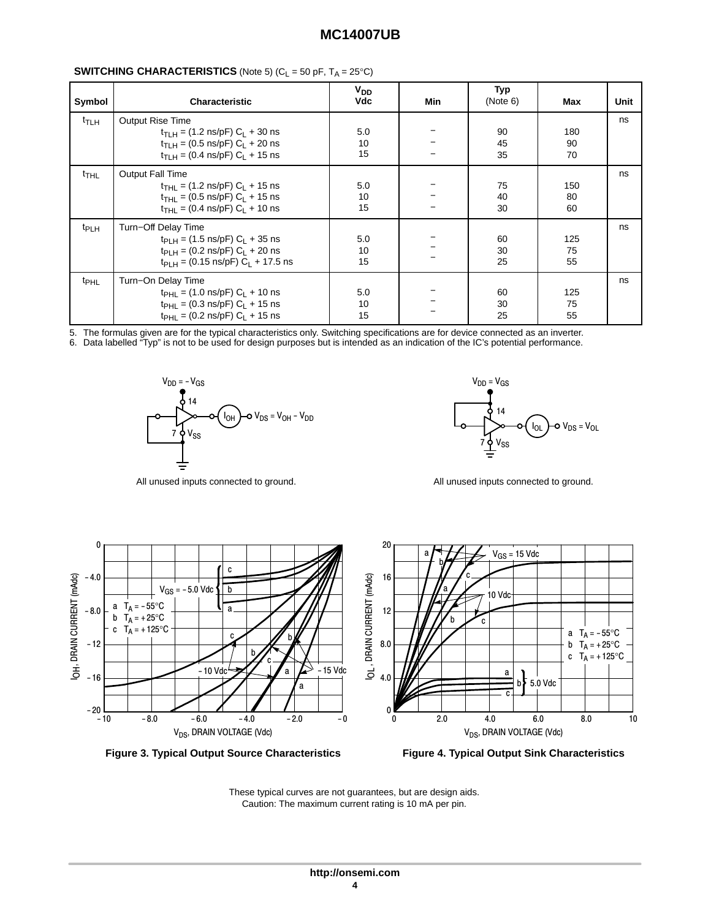| Symbol             | <b>Characteristic</b>                                                                                                                                                                                                | $V_{DD}$<br><b>Vdc</b> | Min | Typ<br>(Note 6) | Max             | Unit |
|--------------------|----------------------------------------------------------------------------------------------------------------------------------------------------------------------------------------------------------------------|------------------------|-----|-----------------|-----------------|------|
| t <sub>TLH</sub>   | <b>Output Rise Time</b><br>$t_{\text{TI H}} = (1.2 \text{ ns/pF}) C_1 + 30 \text{ ns}$<br>$t_{\text{TI H}} = (0.5 \text{ ns/pF}) C_1 + 20 \text{ ns}$<br>$t_{\text{TI H}} = (0.4 \text{ ns/pF}) C_1 + 15 \text{ ns}$ | 5.0<br>10<br>15        |     | 90<br>45<br>35  | 180<br>90<br>70 | ns   |
| $t$ <sub>THL</sub> | <b>Output Fall Time</b><br>$t_{\text{THI}} = (1.2 \text{ ns/pF}) C_1 + 15 \text{ ns}$<br>$t_{\text{THL}}$ = (0.5 ns/pF) C <sub>L</sub> + 15 ns<br>$t_{\text{THI}} = (0.4 \text{ ns/pF}) C_1 + 10 \text{ ns}$         | 5.0<br>10<br>15        |     | 75<br>40<br>30  | 150<br>80<br>60 | ns   |
| t <sub>PLH</sub>   | Turn-Off Delay Time<br>$t_{PI H} = (1.5 \text{ ns/pF}) C_1 + 35 \text{ ns}$<br>$t_{\text{PI H}} = (0.2 \text{ ns/pF}) C_1 + 20 \text{ ns}$<br>$t_{\text{PI H}} = (0.15 \text{ ns/pF}) C_1 + 17.5 \text{ ns}$         | 5.0<br>10<br>15        |     | 60<br>30<br>25  | 125<br>75<br>55 | ns   |
| <sup>t</sup> PHL   | Turn-On Delay Time<br>$t_{\text{PHI}} = (1.0 \text{ ns/pF}) C_1 + 10 \text{ ns}$<br>$t_{\text{PHI}} = (0.3 \text{ ns/pF}) C_1 + 15 \text{ ns}$<br>$t_{\text{PHI}} = (0.2 \text{ ns/pF}) C_1 + 15 \text{ ns}$         | 5.0<br>10<br>15        |     | 60<br>30<br>25  | 125<br>75<br>55 | ns   |

#### **SWITCHING CHARACTERISTICS** (Note 5)  $(C_1 = 50 \text{ pF}, T_A = 25^{\circ}\text{C})$

5. The formulas given are for the typical characteristics only. Switching specifications are for device connected as an inverter.

6. Data labelled "Typ" is not to be used for design purposes but is intended as an indication of the IC's potential performance.



 $V_{DD} = V_{GS}$  $V_{SS}$   $V_{SS}$   $V_{OS} = V_{OL} - V_{DS} = V_{OL}$  $\mathsf{v}_{\mathrm{ss}}$ IOL







These typical curves are not guarantees, but are design aids. Caution: The maximum current rating is 10 mA per pin.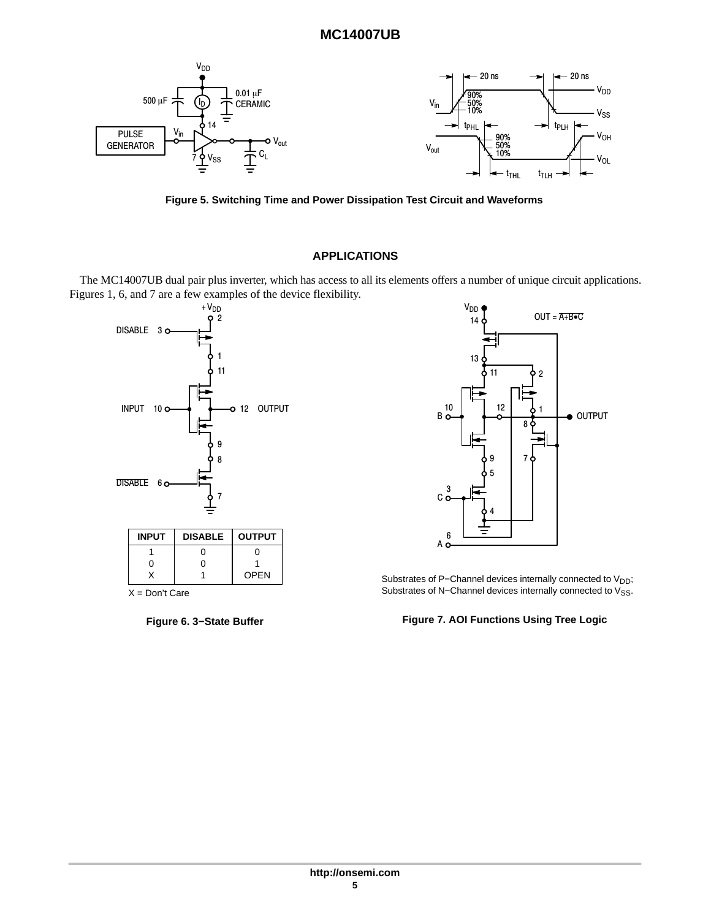

**Figure 5. Switching Time and Power Dissipation Test Circuit and Waveforms**

## **APPLICATIONS**

The MC14007UB dual pair plus inverter, which has access to all its elements offers a number of unique circuit applications. Figures [1](#page-1-0), 6, and 7 are a few examples of the device flexibility.







Substrates of P-Channel devices internally connected to V<sub>DD</sub>; Substrates of N–Channel devices internally connected to V<sub>SS</sub>.

**Figure 7. AOI Functions Using Tree Logic**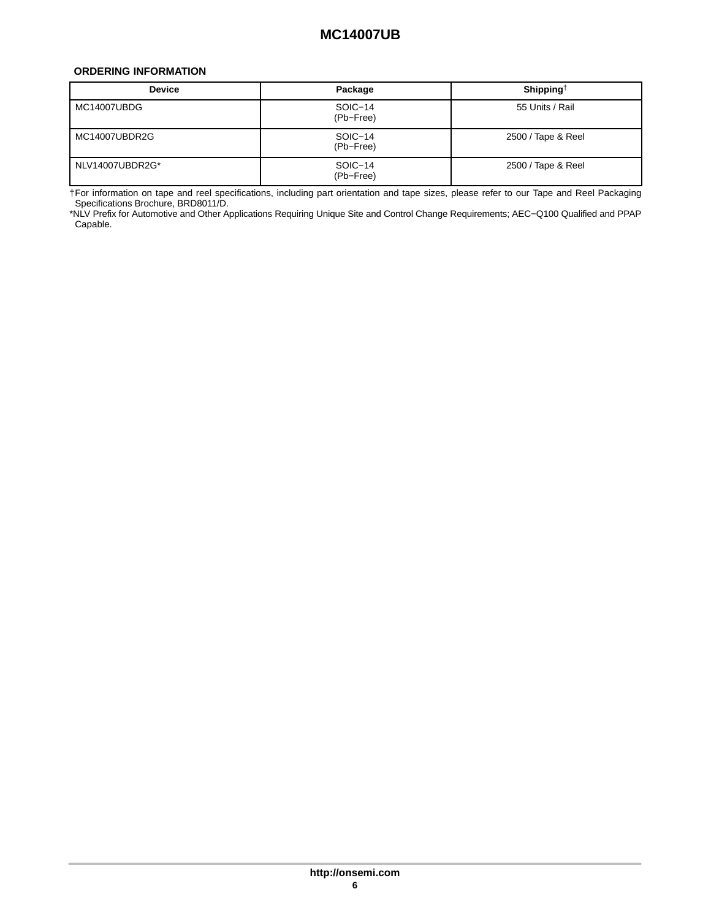### <span id="page-5-0"></span>**ORDERING INFORMATION**

| <b>Device</b>   | Package              | Shipping <sup>†</sup> |
|-----------------|----------------------|-----------------------|
| MC14007UBDG     | SOIC-14<br>(Pb-Free) | 55 Units / Rail       |
| MC14007UBDR2G   | SOIC-14<br>(Pb-Free) | 2500 / Tape & Reel    |
| NLV14007UBDR2G* | SOIC-14<br>(Pb-Free) | 2500 / Tape & Reel    |

†For information on tape and reel specifications, including part orientation and tape sizes, please refer to our Tape and Reel Packaging Specifications Brochure, BRD8011/D.

\*NLV Prefix for Automotive and Other Applications Requiring Unique Site and Control Change Requirements; AEC−Q100 Qualified and PPAP Capable.